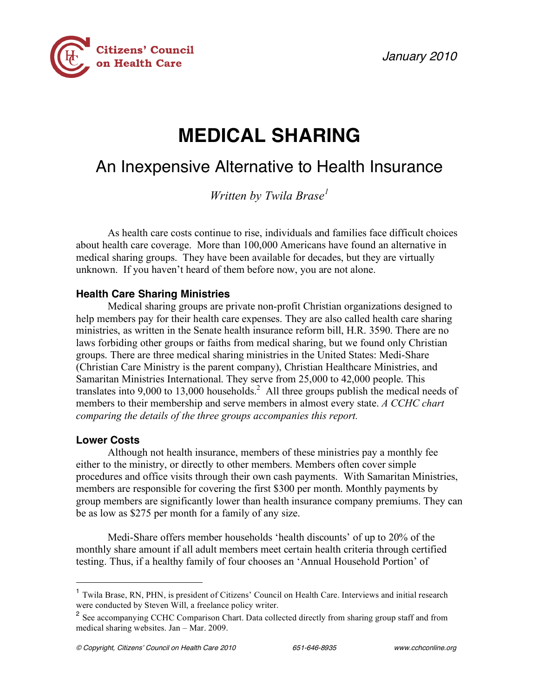January 2010



# **MEDICAL SHARING**

# An Inexpensive Alternative to Health Insurance

*Written by Twila Brase 1*

As health care costs continue to rise, individuals and families face difficult choices about health care coverage. More than 100,000 Americans have found an alternative in medical sharing groups. They have been available for decades, but they are virtually unknown. If you haven't heard of them before now, you are not alone.

## **Health Care Sharing Ministries**

Medical sharing groups are private non-profit Christian organizations designed to help members pay for their health care expenses. They are also called health care sharing ministries, as written in the Senate health insurance reform bill, H.R. 3590. There are no laws forbiding other groups or faiths from medical sharing, but we found only Christian groups. There are three medical sharing ministries in the United States: Medi-Share (Christian Care Ministry is the parent company), Christian Healthcare Ministries, and Samaritan Ministries International. They serve from 25,000 to 42,000 people. This translates into 9,000 to 13,000 households.<sup>2</sup> All three groups publish the medical needs of members to their membership and serve members in almost every state. *A CCHC chart comparing the details of the three groups accompanies this report.*

### **Lower Costs**

Although not health insurance, members of these ministries pay a monthly fee either to the ministry, or directly to other members. Members often cover simple procedures and office visits through their own cash payments. With Samaritan Ministries, members are responsible for covering the first \$300 per month. Monthly payments by group members are significantly lower than health insurance company premiums. They can be as low as \$275 per month for a family of any size.

Medi-Share offers member households 'health discounts' of up to 20% of the monthly share amount if all adult members meet certain health criteria through certified testing. Thus, if a healthy family of four chooses an 'Annual Household Portion' of

<sup>&</sup>lt;sup>1</sup> Twila Brase, RN, PHN, is president of Citizens' Council on Health Care. Interviews and initial research were conducted by Steven Will, a freelance policy writer.

<sup>&</sup>lt;sup>2</sup> See accompanying CCHC Comparison Chart. Data collected directly from sharing group staff and from medical sharing websites. Jan – Mar. 2009.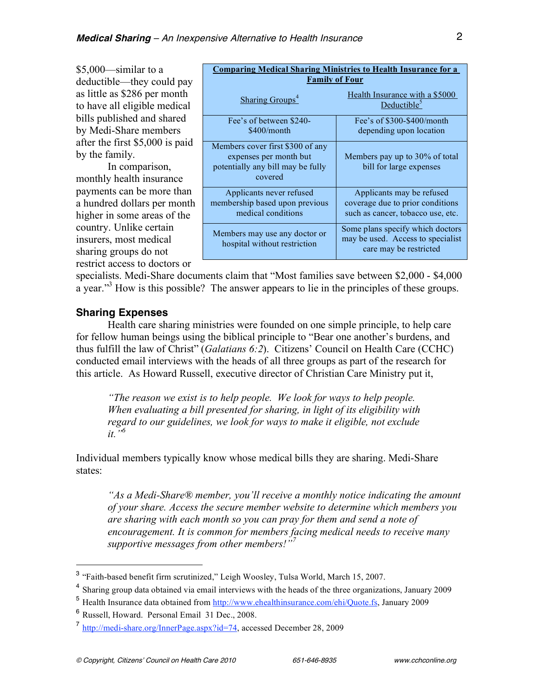\$5,000—similar to a deductible—they could pay as little as \$286 per month to have all eligible medical bills published and shared by Medi-Share members after the first \$5,000 is paid by the family.

In comparison, monthly health insurance payments can be more than a hundred dollars per month higher in some areas of the country. Unlike certain insurers, most medical sharing groups do not restrict access to doctors or

| <b>Comparing Medical Sharing Ministries to Health Insurance for a</b><br><b>Family of Four</b>             |                                                                                                    |  |  |  |  |  |  |
|------------------------------------------------------------------------------------------------------------|----------------------------------------------------------------------------------------------------|--|--|--|--|--|--|
| <b>Sharing Groups<sup>4</sup></b>                                                                          | Health Insurance with a \$5000<br>Deductible <sup>5</sup>                                          |  |  |  |  |  |  |
| Fee's of between \$240-<br>\$400/month                                                                     | Fee's of \$300-\$400/month<br>depending upon location                                              |  |  |  |  |  |  |
| Members cover first \$300 of any<br>expenses per month but<br>potentially any bill may be fully<br>covered | Members pay up to 30% of total<br>bill for large expenses                                          |  |  |  |  |  |  |
| Applicants never refused<br>membership based upon previous<br>medical conditions                           | Applicants may be refused<br>coverage due to prior conditions<br>such as cancer, tobacco use, etc. |  |  |  |  |  |  |
| Members may use any doctor or<br>hospital without restriction                                              | Some plans specify which doctors<br>may be used. Access to specialist<br>care may be restricted    |  |  |  |  |  |  |

specialists. Medi-Share documents claim that "Most families save between \$2,000 - \$4,000 a year."<sup>3</sup> How is this possible? The answer appears to lie in the principles of these groups.

#### **Sharing Expenses**

Health care sharing ministries were founded on one simple principle, to help care for fellow human beings using the biblical principle to "Bear one another's burdens, and thus fulfill the law of Christ" (*Galatians 6:2*). Citizens' Council on Health Care (CCHC) conducted email interviews with the heads of all three groups as part of the research for this article. As Howard Russell, executive director of Christian Care Ministry put it,

*"The reason we exist is to help people. We look for ways to help people. When evaluating a bill presented for sharing, in light of its eligibility with regard to our guidelines, we look for ways to make it eligible, not exclude it."6*

Individual members typically know whose medical bills they are sharing. Medi-Share states:

*"As a Medi-Share® member, you'll receive a monthly notice indicating the amount of your share. Access the secure member website to determine which members you are sharing with each month so you can pray for them and send a note of encouragement. It is common for members facing medical needs to receive many supportive messages from other members!"<sup>7</sup>*

 <sup>3</sup> "Faith-based benefit firm scrutinized," Leigh Woosley, Tulsa World, March 15, 2007.

<sup>&</sup>lt;sup>4</sup> Sharing group data obtained via email interviews with the heads of the three organizations, January 2009

<sup>5</sup> Health Insurance data obtained from http://www.ehealthinsurance.com/ehi/Quote.fs, January 2009

<sup>6</sup> Russell, Howard. Personal Email 31 Dec., 2008.

<sup>7</sup> http://medi-share.org/InnerPage.aspx?id=74, accessed December 28, 2009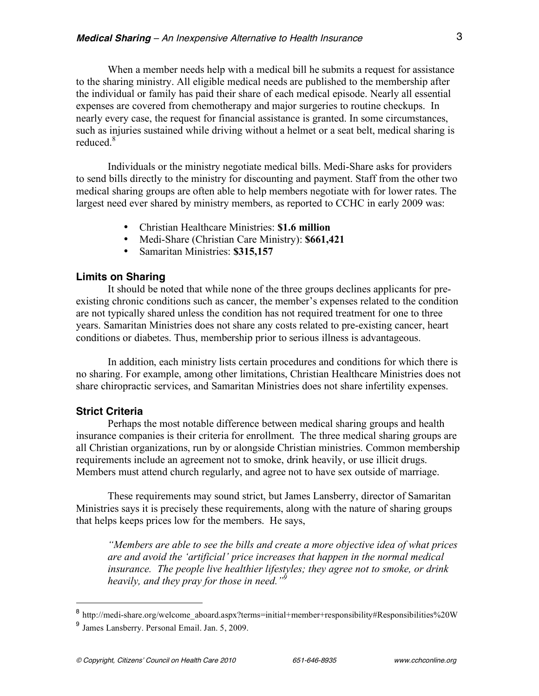When a member needs help with a medical bill he submits a request for assistance to the sharing ministry. All eligible medical needs are published to the membership after the individual or family has paid their share of each medical episode. Nearly all essential expenses are covered from chemotherapy and major surgeries to routine checkups. In nearly every case, the request for financial assistance is granted. In some circumstances, such as injuries sustained while driving without a helmet or a seat belt, medical sharing is reduced<sup>8</sup>

Individuals or the ministry negotiate medical bills. Medi-Share asks for providers to send bills directly to the ministry for discounting and payment. Staff from the other two medical sharing groups are often able to help members negotiate with for lower rates. The largest need ever shared by ministry members, as reported to CCHC in early 2009 was:

- Christian Healthcare Ministries: **\$1.6 million**
- Medi-Share (Christian Care Ministry): **\$661,421**
- Samaritan Ministries: **\$315,157**

#### **Limits on Sharing**

It should be noted that while none of the three groups declines applicants for preexisting chronic conditions such as cancer, the member's expenses related to the condition are not typically shared unless the condition has not required treatment for one to three years. Samaritan Ministries does not share any costs related to pre-existing cancer, heart conditions or diabetes. Thus, membership prior to serious illness is advantageous.

In addition, each ministry lists certain procedures and conditions for which there is no sharing. For example, among other limitations, Christian Healthcare Ministries does not share chiropractic services, and Samaritan Ministries does not share infertility expenses.

#### **Strict Criteria**

Perhaps the most notable difference between medical sharing groups and health insurance companies is their criteria for enrollment. The three medical sharing groups are all Christian organizations, run by or alongside Christian ministries. Common membership requirements include an agreement not to smoke, drink heavily, or use illicit drugs. Members must attend church regularly, and agree not to have sex outside of marriage.

These requirements may sound strict, but James Lansberry, director of Samaritan Ministries says it is precisely these requirements, along with the nature of sharing groups that helps keeps prices low for the members. He says,

*"Members are able to see the bills and create a more objective idea of what prices are and avoid the 'artificial' price increases that happen in the normal medical insurance. The people live healthier lifestyles; they agree not to smoke, or drink heavily, and they pray for those in need."9*

 $8$  http://medi-share.org/welcome\_aboard.aspx?terms=initial+member+responsibility#Responsibilities%20W

<sup>9</sup> James Lansberry. Personal Email. Jan. 5, 2009.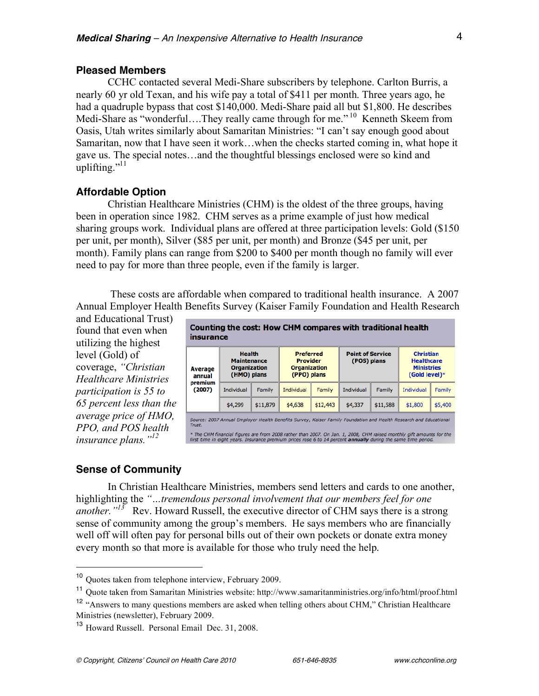#### **Pleased Members**

CCHC contacted several Medi-Share subscribers by telephone. Carlton Burris, a nearly 60 yr old Texan, and his wife pay a total of \$411 per month. Three years ago, he had a quadruple bypass that cost \$140,000. Medi-Share paid all but \$1,800. He describes Medi-Share as "wonderful....They really came through for me."<sup>10</sup> Kenneth Skeem from Oasis, Utah writes similarly about Samaritan Ministries: "I can't say enough good about Samaritan, now that I have seen it work…when the checks started coming in, what hope it gave us. The special notes…and the thoughtful blessings enclosed were so kind and uplifting."<sup>11</sup>

#### **Affordable Option**

Christian Healthcare Ministries (CHM) is the oldest of the three groups, having been in operation since 1982. CHM serves as a prime example of just how medical sharing groups work. Individual plans are offered at three participation levels: Gold (\$150 per unit, per month), Silver (\$85 per unit, per month) and Bronze (\$45 per unit, per month). Family plans can range from \$200 to \$400 per month though no family will ever need to pay for more than three people, even if the family is larger.

These costs are affordable when compared to traditional health insurance. A 2007 Annual Employer Health Benefits Survey (Kaiser Family Foundation and Health Research

and Educational Trust) found that even when utilizing the highest level (Gold) of coverage, *"Christian Healthcare Ministries participation is 55 to 65 percent less than the average price of HMO, PPO, and POS health insurance plans."<sup>12</sup>*

| Counting the cost: How CHM compares with traditional health<br>insurance                                                                                                                                                               |                                                                           |          |                                                                           |          |                                        |          |                                                                             |         |  |
|----------------------------------------------------------------------------------------------------------------------------------------------------------------------------------------------------------------------------------------|---------------------------------------------------------------------------|----------|---------------------------------------------------------------------------|----------|----------------------------------------|----------|-----------------------------------------------------------------------------|---------|--|
| <b>Average</b><br>annual<br>premium<br>(2007)                                                                                                                                                                                          | <b>Health</b><br><b>Maintenance</b><br><b>Organization</b><br>(HMO) plans |          | <b>Preferred</b><br><b>Provider</b><br><b>Organization</b><br>(PPO) plans |          | <b>Point of Service</b><br>(POS) plans |          | <b>Christian</b><br><b>Healthcare</b><br><b>Ministries</b><br>(Gold level)* |         |  |
|                                                                                                                                                                                                                                        | Individual                                                                | Family   | Individual                                                                | Family   | Individual                             | Family   | Individual                                                                  | Family  |  |
|                                                                                                                                                                                                                                        | \$4,299                                                                   | \$11,879 | \$4,638                                                                   | \$12,443 | \$4,337                                | \$11,588 | \$1,800                                                                     | \$5,400 |  |
| Source: 2007 Annual Employer Health Benefits Survey, Kaiser Family Foundation and Health Research and Educational<br>Trust.                                                                                                            |                                                                           |          |                                                                           |          |                                        |          |                                                                             |         |  |
| * The CHM financial figures are from 2008 rather than 2007. On Jan. 1, 2008, CHM raised monthly gift amounts for the<br>first time in eight years. Insurance premium prices rose 6 to 14 percent annually during the same time period. |                                                                           |          |                                                                           |          |                                        |          |                                                                             |         |  |

#### **Sense of Community**

In Christian Healthcare Ministries, members send letters and cards to one another, highlighting the *"…tremendous personal involvement that our members feel for one another."<sup>13</sup>* Rev. Howard Russell, the executive director of CHM says there is a strong sense of community among the group's members. He says members who are financially well off will often pay for personal bills out of their own pockets or donate extra money every month so that more is available for those who truly need the help.

 <sup>10</sup> Quotes taken from telephone interview, February 2009.

<sup>11</sup> Quote taken from Samaritan Ministries website: http://www.samaritanministries.org/info/html/proof.html

<sup>&</sup>lt;sup>12</sup> "Answers to many questions members are asked when telling others about CHM," Christian Healthcare Ministries (newsletter), February 2009.

<sup>13</sup> Howard Russell. Personal Email Dec. 31, 2008.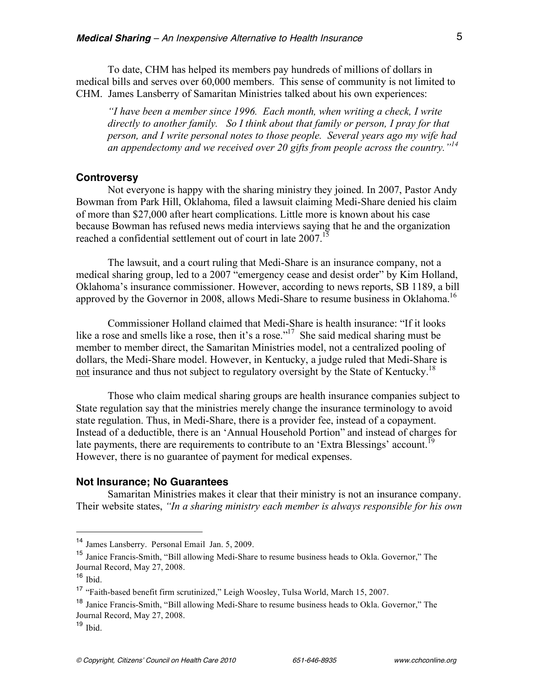To date, CHM has helped its members pay hundreds of millions of dollars in medical bills and serves over 60,000 members. This sense of community is not limited to CHM. James Lansberry of Samaritan Ministries talked about his own experiences:

*"I have been a member since 1996. Each month, when writing a check, I write directly to another family. So I think about that family or person, I pray for that person, and I write personal notes to those people. Several years ago my wife had an appendectomy and we received over 20 gifts from people across the country."<sup>14</sup>*

#### **Controversy**

Not everyone is happy with the sharing ministry they joined. In 2007, Pastor Andy Bowman from Park Hill, Oklahoma, filed a lawsuit claiming Medi-Share denied his claim of more than \$27,000 after heart complications. Little more is known about his case because Bowman has refused news media interviews saying that he and the organization reached a confidential settlement out of court in late 2007.<sup>15</sup>

The lawsuit, and a court ruling that Medi-Share is an insurance company, not a medical sharing group, led to a 2007 "emergency cease and desist order" by Kim Holland, Oklahoma's insurance commissioner. However, according to news reports, SB 1189, a bill approved by the Governor in 2008, allows Medi-Share to resume business in Oklahoma.<sup>16</sup>

Commissioner Holland claimed that Medi-Share is health insurance: "If it looks like a rose and smells like a rose, then it's a rose."<sup>17</sup> She said medical sharing must be member to member direct, the Samaritan Ministries model, not a centralized pooling of dollars, the Medi-Share model. However, in Kentucky, a judge ruled that Medi-Share is not insurance and thus not subject to regulatory oversight by the State of Kentucky.<sup>18</sup>

Those who claim medical sharing groups are health insurance companies subject to State regulation say that the ministries merely change the insurance terminology to avoid state regulation. Thus, in Medi-Share, there is a provider fee, instead of a copayment. Instead of a deductible, there is an 'Annual Household Portion" and instead of charges for late payments, there are requirements to contribute to an 'Extra Blessings' account.<sup>19</sup> However, there is no guarantee of payment for medical expenses.

#### **Not Insurance; No Guarantees**

Samaritan Ministries makes it clear that their ministry is not an insurance company. Their website states, *"In a sharing ministry each member is always responsible for his own* 

 <sup>14</sup> James Lansberry. Personal Email Jan. 5, 2009.

<sup>15</sup> Janice Francis-Smith, "Bill allowing Medi-Share to resume business heads to Okla. Governor," The Journal Record, May 27, 2008.

 $16$  Ibid.

<sup>17</sup> "Faith-based benefit firm scrutinized," Leigh Woosley, Tulsa World, March 15, 2007.

<sup>18</sup> Janice Francis-Smith, "Bill allowing Medi-Share to resume business heads to Okla. Governor," The Journal Record, May 27, 2008.

<sup>19</sup> Ibid.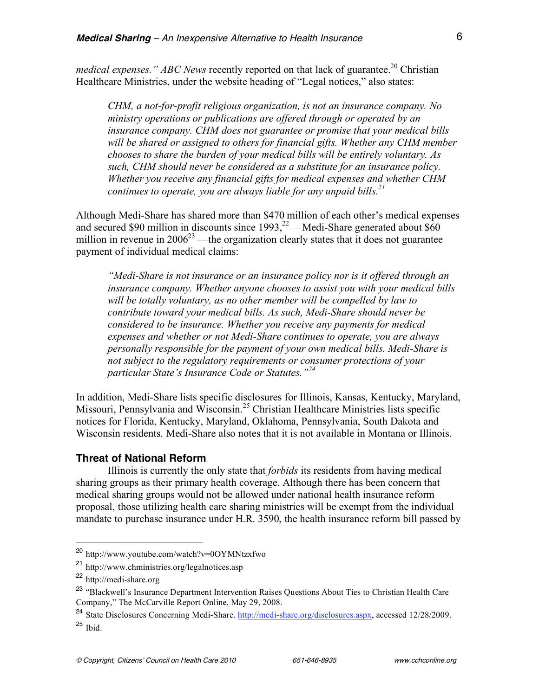*medical expenses." ABC News* recently reported on that lack of guarantee. <sup>20</sup> Christian Healthcare Ministries, under the website heading of "Legal notices," also states:

*CHM, a not-for-profit religious organization, is not an insurance company. No ministry operations or publications are offered through or operated by an insurance company. CHM does not guarantee or promise that your medical bills will be shared or assigned to others for financial gifts. Whether any CHM member chooses to share the burden of your medical bills will be entirely voluntary. As such, CHM should never be considered as a substitute for an insurance policy. Whether you receive any financial gifts for medical expenses and whether CHM continues to operate, you are always liable for any unpaid bills. 21*

Although Medi-Share has shared more than \$470 million of each other's medical expenses and secured \$90 million in discounts since  $1993$ ,<sup>22</sup> – Medi-Share generated about \$60 million in revenue in  $2006^{23}$  —the organization clearly states that it does not guarantee payment of individual medical claims:

*"Medi-Share is not insurance or an insurance policy nor is it offered through an insurance company. Whether anyone chooses to assist you with your medical bills will be totally voluntary, as no other member will be compelled by law to contribute toward your medical bills. As such, Medi-Share should never be considered to be insurance. Whether you receive any payments for medical expenses and whether or not Medi-Share continues to operate, you are always personally responsible for the payment of your own medical bills. Medi-Share is not subject to the regulatory requirements or consumer protections of your particular State's Insurance Code or Statutes."<sup>24</sup>*

In addition, Medi-Share lists specific disclosures for Illinois, Kansas, Kentucky, Maryland, Missouri, Pennsylvania and Wisconsin.<sup>25</sup> Christian Healthcare Ministries lists specific notices for Florida, Kentucky, Maryland, Oklahoma, Pennsylvania, South Dakota and Wisconsin residents. Medi-Share also notes that it is not available in Montana or Illinois.

#### **Threat of National Reform**

Illinois is currently the only state that *forbids* its residents from having medical sharing groups as their primary health coverage. Although there has been concern that medical sharing groups would not be allowed under national health insurance reform proposal, those utilizing health care sharing ministries will be exempt from the individual mandate to purchase insurance under H.R. 3590, the health insurance reform bill passed by

 <sup>20</sup> http://www.youtube.com/watch?v=0OYMNtzxfwo

<sup>21</sup> http://www.chministries.org/legalnotices.asp

<sup>22</sup> http://medi-share.org

<sup>&</sup>lt;sup>23</sup> "Blackwell's Insurance Department Intervention Raises Questions About Ties to Christian Health Care Company," The McCarville Report Online, May 29, 2008.

<sup>&</sup>lt;sup>24</sup> State Disclosures Concerning Medi-Share. http://medi-share.org/disclosures.aspx, accessed 12/28/2009. <sup>25</sup> Ibid.